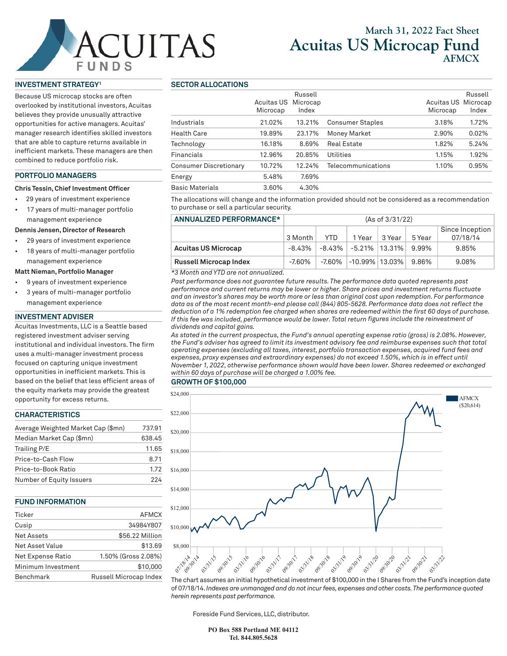# CUITAS UNDS

## **March 31, 2022 Fact Sheet Acuitas US Microcap Fund AFMCX**

#### **INVESTMENT STRATEGY1**

Because US microcap stocks are often overlooked by institutional investors, Acuitas believes they provide unusually attractive opportunities for active managers. Acuitas' manager research identifies skilled investors that are able to capture returns available in inefficient markets. These managers are then combined to reduce portfolio risk.

#### **PORTFOLIO MANAGERS**

#### **Chris Tessin, Chief Investment Officer**

- 29 years of investment experience
- 17 years of multi-manager portfolio management experience

#### **Dennis Jensen, Director of Research**

- 29 years of investment experience
- 18 years of multi-manager portfolio management experience

#### **Matt Nieman, Portfolio Manager**

- 9 years of investment experience
- 3 years of multi-manager portfolio management experience

#### **INVESTMENT ADVISER**

Acuitas Investments, LLC is a Seattle based registered investment adviser serving institutional and individual investors. The firm uses a multi-manager investment process focused on capturing unique investment opportunities in inefficient markets. This is based on the belief that less efficient areas of the equity markets may provide the greatest opportunity for excess returns.

#### **CHARACTERISTICS**

| Average Weighted Market Cap (\$mn) | 737.91 |  |  |
|------------------------------------|--------|--|--|
| Median Market Cap (\$mn)           | 638.45 |  |  |
| Trailing P/E                       | 11.65  |  |  |
| Price-to-Cash Flow                 | 8.71   |  |  |
| Price-to-Book Ratio                | 1.72   |  |  |
| Number of Equity Issuers           | 224    |  |  |

#### **FUND INFORMATION**

| Ticker             | <b>AFMCX</b>           |
|--------------------|------------------------|
| Cusip              | 34984Y807              |
| Net Assets         | \$56.22 Million        |
| Net Asset Value    | \$13.69                |
| Net Expense Ratio  | 1.50% (Gross 2.08%)    |
| Minimum Investment | \$10,000               |
| Benchmark          | Russell Microcap Index |

#### **SECTOR ALLOCATIONS**

|                               | Acuitas US<br>Microcap | Russell<br>Microcap<br>Index |                         | Acuitas US Microcap<br>Microcap | Russell<br>Index |
|-------------------------------|------------------------|------------------------------|-------------------------|---------------------------------|------------------|
| Industrials                   | 21.02%                 | 13.21%                       | <b>Consumer Staples</b> | 3.18%                           | 1.72%            |
| <b>Health Care</b>            | 19.89%                 | 23.17%                       | <b>Money Market</b>     | 2.90%                           | 0.02%            |
| Technology                    | 16.18%                 | 8.69%                        | <b>Real Estate</b>      | 1.82%                           | 5.24%            |
| Financials                    | 12.96%                 | 20.85%                       | Utilities               | 1.15%                           | 1.92%            |
| <b>Consumer Discretionary</b> | 10.72%                 | 12.24%                       | Telecommunications      | 1.10%                           | 0.95%            |
| Energy                        | 5.48%                  | 7.69%                        |                         |                                 |                  |
| <b>Basic Materials</b>        | 3.60%                  | 4.30%                        |                         |                                 |                  |

The allocations will change and the information provided should not be considered as a recommendation to purchase or sell a particular security.

### **ANNUALIZED PERFORMANCE\*** (As of 3/31/22)

|                                  |          |     |                                   |        |        | Since Inception $ $ |  |
|----------------------------------|----------|-----|-----------------------------------|--------|--------|---------------------|--|
|                                  | 3 Month  | YTD | 1 Year                            | 3 Year | 5 Year | 07/18/14            |  |
| Acuitas US Microcap              | -8.43% l |     | -8.43% -5.21% 13.31%              |        | 9.99%  | 9.85%               |  |
| <b>Russell Microcap Index</b>    | -7.60%   |     | $-7.60\%$ $-10.99\%$ 13.03% 9.86% |        |        | 9.08%               |  |
| $\sim$ $\sim$ $\sim$<br>$\cdots$ |          |     |                                   |        |        |                     |  |

*\*3 Month and YTD are not annualized.* 

*Past performance does not guarantee future results. The performance data quoted represents past performance and current returns may be lower or higher. Share prices and investment returns fluctuate and an investor's shares may be worth more or less than original cost upon redemption. For performance data as of the most recent month-end please call (844) 805-5628. Performance data does not reflect the deduction of a 1% redemption fee charged when shares are redeemed within the first 60 days of purchase. If this fee was included, performance would be lower. Total return figures include the reinvestment of dividends and capital gains.* 

*As stated in the current prospectus, the Fund's annual operating expense ratio (gross) is 2.08%. However, the Fund's adviser has agreed to limit its investment advisory fee and reimburse expenses such that total operating expenses (excluding all taxes, interest, portfolio transaction expenses, acquired fund fees and expenses, proxy expenses and extraordinary expenses) do not exceed 1.50%, which is in effect until November 1, 2022, otherwise performance shown would have been lower. Shares redeemed or exchanged within 60 days of purchase will be charged a 1.00% fee.*





The chart assumes an initial hypothetical investment of \$100,000 in the I Shares from the Fund's inception date of 07/18/14. *Indexes are unmanaged and do not incur fees, expenses and other costs. The performance quoted herein represents past performance.*

Foreside Fund Services, LLC, distributor.